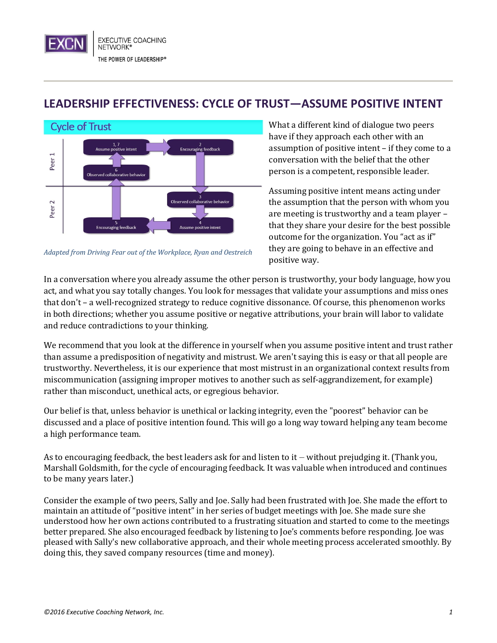## **LEADERSHIP EFFECTIVENESS: CYCLE OF TRUST—ASSUME POSITIVE INTENT**



*Adapted from Driving Fear out of the Workplace, Ryan and Oestreich*

What a different kind of dialogue two peers have if they approach each other with an assumption of positive intent – if they come to a conversation with the belief that the other person is a competent, responsible leader.

Assuming positive intent means acting under the assumption that the person with whom you are meeting is trustworthy and a team player – that they share your desire for the best possible outcome for the organization. You "act as if" they are going to behave in an effective and positive way.

In a conversation where you already assume the other person is trustworthy, your body language, how you act, and what you say totally changes. You look for messages that validate your assumptions and miss ones that don't – a well-recognized strategy to reduce cognitive dissonance. Of course, this phenomenon works in both directions; whether you assume positive or negative attributions, your brain will labor to validate and reduce contradictions to your thinking.

We recommend that you look at the difference in yourself when you assume positive intent and trust rather than assume a predisposition of negativity and mistrust. We aren't saying this is easy or that all people are trustworthy. Nevertheless, it is our experience that most mistrust in an organizational context results from miscommunication (assigning improper motives to another such as self-aggrandizement, for example) rather than misconduct, unethical acts, or egregious behavior.

Our belief is that, unless behavior is unethical or lacking integrity, even the "poorest" behavior can be discussed and a place of positive intention found. This will go a long way toward helping any team become a high performance team.

As to encouraging feedback, the best leaders ask for and listen to it – without prejudging it. (Thank you, Marshall Goldsmith, for the cycle of encouraging feedback. It was valuable when introduced and continues to be many years later.)

Consider the example of two peers, Sally and Joe. Sally had been frustrated with Joe. She made the effort to maintain an attitude of "positive intent" in her series of budget meetings with Joe. She made sure she understood how her own actions contributed to a frustrating situation and started to come to the meetings better prepared. She also encouraged feedback by listening to Joe's comments before responding. Joe was pleased with Sally's new collaborative approach, and their whole meeting process accelerated smoothly. By doing this, they saved company resources (time and money).